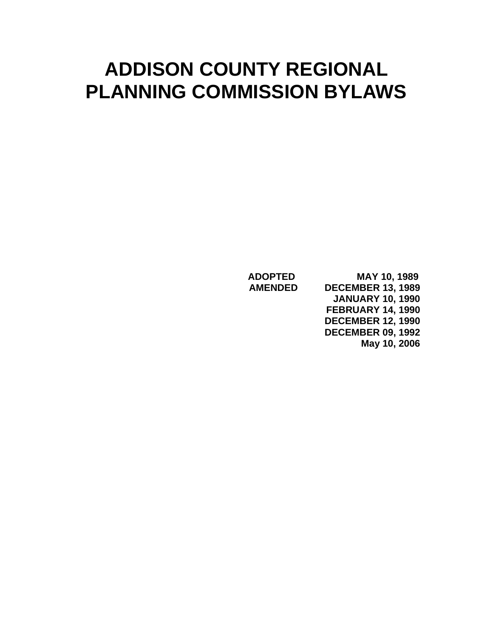# **ADDISON COUNTY REGIONAL PLANNING COMMISSION BYLAWS**

 **ADOPTED MAY 10, 1989 AMENDED DECEMBER 13, 1989 JANUARY 10, 1990 FEBRUARY 14, 1990 DECEMBER 12, 1990 DECEMBER 09, 1992 May 10, 2006**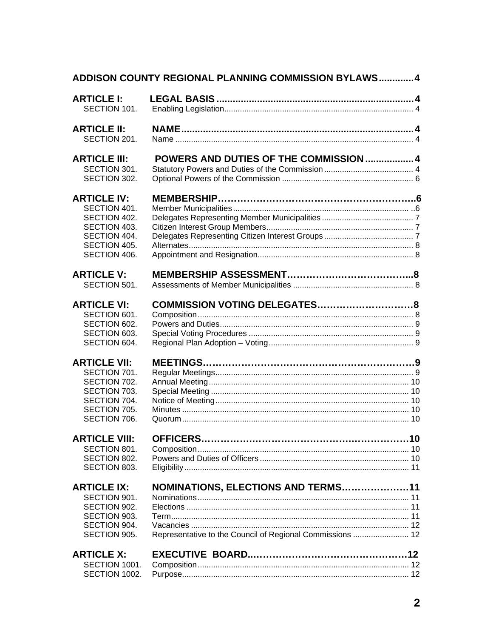| ADDISON COUNTY REGIONAL PLANNING COMMISSION BYLAWS 4                                                                    |                                                                                                 |  |  |
|-------------------------------------------------------------------------------------------------------------------------|-------------------------------------------------------------------------------------------------|--|--|
| <b>ARTICLE I:</b><br>SECTION 101.                                                                                       |                                                                                                 |  |  |
| <b>ARTICLE II:</b><br>SECTION 201.                                                                                      |                                                                                                 |  |  |
| <b>ARTICLE III:</b><br>SECTION 301.<br>SECTION 302.                                                                     | POWERS AND DUTIES OF THE COMMISSION  4                                                          |  |  |
| <b>ARTICLE IV:</b><br>SECTION 401.<br>SECTION 402.<br>SECTION 403.<br>SECTION 404.<br>SECTION 405.<br>SECTION 406.      |                                                                                                 |  |  |
| <b>ARTICLE V:</b><br>SECTION 501.                                                                                       |                                                                                                 |  |  |
| <b>ARTICLE VI:</b><br>SECTION 601.<br>SECTION 602.<br>SECTION 603.<br>SECTION 604.                                      |                                                                                                 |  |  |
| <b>ARTICLE VII:</b><br>SECTION 701.<br>SECTION 702.<br>SECTION 703.<br>SECTION 704.<br>SECTION 705.<br>SECTION 706.     |                                                                                                 |  |  |
| <b>ARTICLE VIII:</b><br>SECTION 801.<br>SECTION 802.<br>SECTION 803.                                                    |                                                                                                 |  |  |
| <b>ARTICLE IX:</b><br>SECTION 901.<br>SECTION 902.<br>SECTION 903.<br>SECTION 904.<br>SECTION 905.<br><b>ARTICLE X:</b> | NOMINATIONS, ELECTIONS AND TERMS11<br>Representative to the Council of Regional Commissions  12 |  |  |
| SECTION 1001.<br>SECTION 1002.                                                                                          |                                                                                                 |  |  |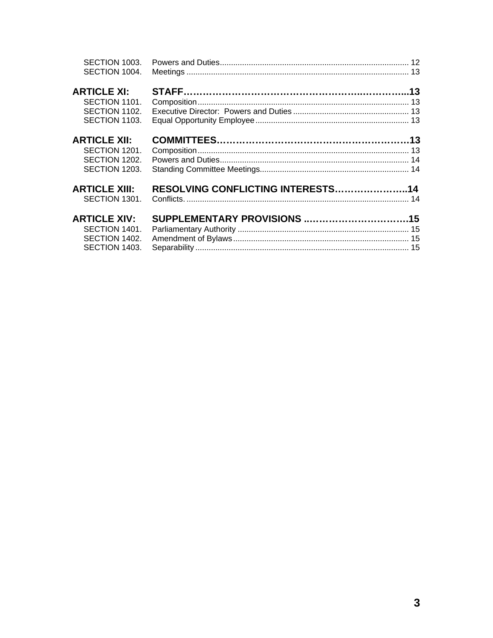| SECTION 1003.<br>SECTION 1004.                                         |                                   |  |
|------------------------------------------------------------------------|-----------------------------------|--|
| <b>ARTICLE XI:</b><br>SECTION 1101.<br>SECTION 1102.<br>SECTION 1103.  |                                   |  |
| <b>ARTICLE XII:</b><br>SECTION 1201.<br>SECTION 1202.<br>SECTION 1203. |                                   |  |
| <b>ARTICLE XIII:</b><br>SECTION 1301.                                  | RESOLVING CONFLICTING INTERESTS14 |  |
| <b>ARTICLE XIV:</b><br>SECTION 1401.<br>SECTION 1402.<br>SECTION 1403. |                                   |  |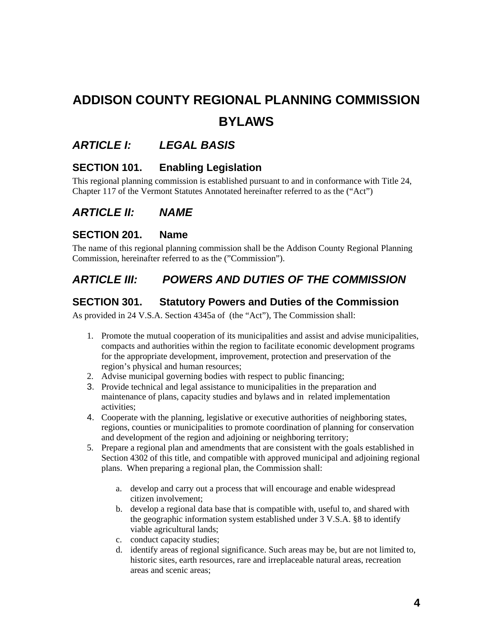# <span id="page-3-0"></span>**ADDISON COUNTY REGIONAL PLANNING COMMISSION BYLAWS**

## *ARTICLE I: LEGAL BASIS*

#### **SECTION 101. Enabling Legislation**

This regional planning commission is established pursuant to and in conformance with Title 24, Chapter 117 of the Vermont Statutes Annotated hereinafter referred to as the ("Act")

#### *ARTICLE II: NAME*

#### **SECTION 201. Name**

The name of this regional planning commission shall be the Addison County Regional Planning Commission, hereinafter referred to as the ("Commission").

## *ARTICLE III: POWERS AND DUTIES OF THE COMMISSION*

#### **SECTION 301. Statutory Powers and Duties of the Commission**

As provided in 24 V.S.A. Section 4345a of (the "Act"), The Commission shall:

- 1. Promote the mutual cooperation of its municipalities and assist and advise municipalities, compacts and authorities within the region to facilitate economic development programs for the appropriate development, improvement, protection and preservation of the region's physical and human resources;
- 2. Advise municipal governing bodies with respect to public financing;
- 3. Provide technical and legal assistance to municipalities in the preparation and maintenance of plans, capacity studies and bylaws and in related implementation activities;
- 4. Cooperate with the planning, legislative or executive authorities of neighboring states, regions, counties or municipalities to promote coordination of planning for conservation and development of the region and adjoining or neighboring territory;
- 5. Prepare a regional plan and amendments that are consistent with the goals established in Section 4302 of this title, and compatible with approved municipal and adjoining regional plans. When preparing a regional plan, the Commission shall:
	- a. develop and carry out a process that will encourage and enable widespread citizen involvement;
	- b. develop a regional data base that is compatible with, useful to, and shared with the geographic information system established under 3 V.S.A. §8 to identify viable agricultural lands;
	- c. conduct capacity studies;
	- d. identify areas of regional significance. Such areas may be, but are not limited to, historic sites, earth resources, rare and irreplaceable natural areas, recreation areas and scenic areas;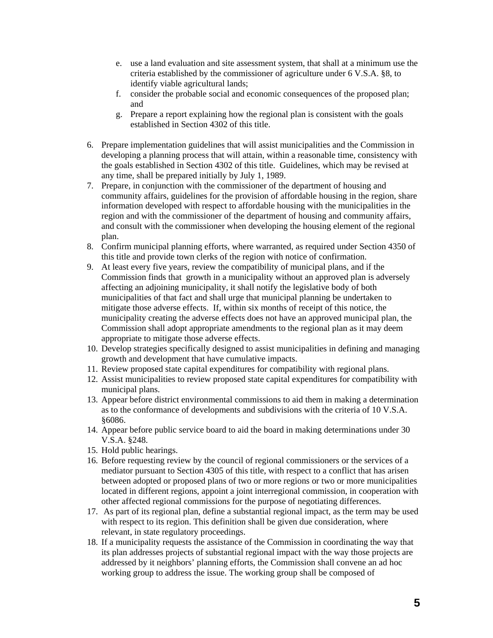- e. use a land evaluation and site assessment system, that shall at a minimum use the criteria established by the commissioner of agriculture under 6 V.S.A. §8, to identify viable agricultural lands;
- f. consider the probable social and economic consequences of the proposed plan; and
- g. Prepare a report explaining how the regional plan is consistent with the goals established in Section 4302 of this title.
- 6. Prepare implementation guidelines that will assist municipalities and the Commission in developing a planning process that will attain, within a reasonable time, consistency with the goals established in Section 4302 of this title. Guidelines, which may be revised at any time, shall be prepared initially by July 1, 1989.
- 7. Prepare, in conjunction with the commissioner of the department of housing and community affairs, guidelines for the provision of affordable housing in the region, share information developed with respect to affordable housing with the municipalities in the region and with the commissioner of the department of housing and community affairs, and consult with the commissioner when developing the housing element of the regional plan.
- 8. Confirm municipal planning efforts, where warranted, as required under Section 4350 of this title and provide town clerks of the region with notice of confirmation.
- 9. At least every five years, review the compatibility of municipal plans, and if the Commission finds that growth in a municipality without an approved plan is adversely affecting an adjoining municipality, it shall notify the legislative body of both municipalities of that fact and shall urge that municipal planning be undertaken to mitigate those adverse effects. If, within six months of receipt of this notice, the municipality creating the adverse effects does not have an approved municipal plan, the Commission shall adopt appropriate amendments to the regional plan as it may deem appropriate to mitigate those adverse effects.
- 10. Develop strategies specifically designed to assist municipalities in defining and managing growth and development that have cumulative impacts.
- 11. Review proposed state capital expenditures for compatibility with regional plans.
- 12. Assist municipalities to review proposed state capital expenditures for compatibility with municipal plans.
- 13. Appear before district environmental commissions to aid them in making a determination as to the conformance of developments and subdivisions with the criteria of 10 V.S.A. §6086.
- 14. Appear before public service board to aid the board in making determinations under 30 V.S.A. §248.
- 15. Hold public hearings.
- 16. Before requesting review by the council of regional commissioners or the services of a mediator pursuant to Section 4305 of this title, with respect to a conflict that has arisen between adopted or proposed plans of two or more regions or two or more municipalities located in different regions, appoint a joint interregional commission, in cooperation with other affected regional commissions for the purpose of negotiating differences.
- 17. As part of its regional plan, define a substantial regional impact, as the term may be used with respect to its region. This definition shall be given due consideration, where relevant, in state regulatory proceedings.
- 18. If a municipality requests the assistance of the Commission in coordinating the way that its plan addresses projects of substantial regional impact with the way those projects are addressed by it neighbors' planning efforts, the Commission shall convene an ad hoc working group to address the issue. The working group shall be composed of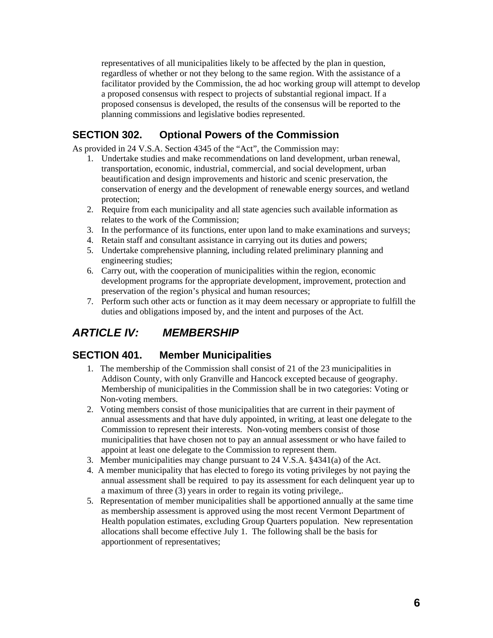<span id="page-5-0"></span>representatives of all municipalities likely to be affected by the plan in question, regardless of whether or not they belong to the same region. With the assistance of a facilitator provided by the Commission, the ad hoc working group will attempt to develop a proposed consensus with respect to projects of substantial regional impact. If a proposed consensus is developed, the results of the consensus will be reported to the planning commissions and legislative bodies represented.

## **SECTION 302. Optional Powers of the Commission**

As provided in 24 V.S.A. Section 4345 of the "Act", the Commission may:

- 1. Undertake studies and make recommendations on land development, urban renewal, transportation, economic, industrial, commercial, and social development, urban beautification and design improvements and historic and scenic preservation, the conservation of energy and the development of renewable energy sources, and wetland protection;
- 2. Require from each municipality and all state agencies such available information as relates to the work of the Commission;
- 3. In the performance of its functions, enter upon land to make examinations and surveys;
- 4. Retain staff and consultant assistance in carrying out its duties and powers;
- 5. Undertake comprehensive planning, including related preliminary planning and engineering studies;
- 6. Carry out, with the cooperation of municipalities within the region, economic development programs for the appropriate development, improvement, protection and preservation of the region's physical and human resources;
- 7. Perform such other acts or function as it may deem necessary or appropriate to fulfill the duties and obligations imposed by, and the intent and purposes of the Act.

# *ARTICLE IV: MEMBERSHIP*

### **SECTION 401. Member Municipalities**

- 1. The membership of the Commission shall consist of 21 of the 23 municipalities in Addison County, with only Granville and Hancock excepted because of geography. Membership of municipalities in the Commission shall be in two categories: Voting or Non-voting members.
- 2. Voting members consist of those municipalities that are current in their payment of annual assessments and that have duly appointed, in writing, at least one delegate to the Commission to represent their interests. Non-voting members consist of those municipalities that have chosen not to pay an annual assessment or who have failed to appoint at least one delegate to the Commission to represent them.
- 3. Member municipalities may change pursuant to 24 V.S.A. §4341(a) of the Act.
- 4. A member municipality that has elected to forego its voting privileges by not paying the annual assessment shall be required to pay its assessment for each delinquent year up to a maximum of three (3) years in order to regain its voting privilege,.
- 5. Representation of member municipalities shall be apportioned annually at the same time as membership assessment is approved using the most recent Vermont Department of Health population estimates, excluding Group Quarters population. New representation allocations shall become effective July 1. The following shall be the basis for apportionment of representatives;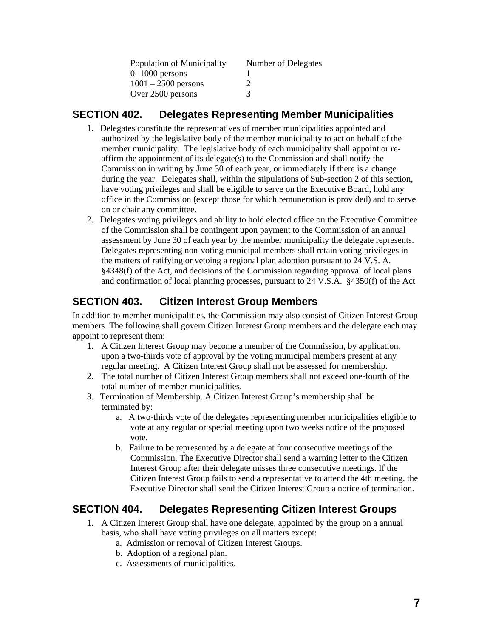| Population of Municipality | Number of Delegates |
|----------------------------|---------------------|
| $0-1000$ persons           |                     |
| $1001 - 2500$ persons      |                     |
| Over 2500 persons          | 3                   |

#### <span id="page-6-0"></span>**SECTION 402. Delegates Representing Member Municipalities**

- 1. Delegates constitute the representatives of member municipalities appointed and authorized by the legislative body of the member municipality to act on behalf of the member municipality. The legislative body of each municipality shall appoint or reaffirm the appointment of its delegate(s) to the Commission and shall notify the Commission in writing by June 30 of each year, or immediately if there is a change during the year. Delegates shall, within the stipulations of Sub-section 2 of this section, have voting privileges and shall be eligible to serve on the Executive Board, hold any office in the Commission (except those for which remuneration is provided) and to serve on or chair any committee.
- 2. Delegates voting privileges and ability to hold elected office on the Executive Committee of the Commission shall be contingent upon payment to the Commission of an annual assessment by June 30 of each year by the member municipality the delegate represents. Delegates representing non-voting municipal members shall retain voting privileges in the matters of ratifying or vetoing a regional plan adoption pursuant to 24 V.S. A. §4348(f) of the Act, and decisions of the Commission regarding approval of local plans and confirmation of local planning processes, pursuant to 24 V.S.A. §4350(f) of the Act

## **SECTION 403. Citizen Interest Group Members**

In addition to member municipalities, the Commission may also consist of Citizen Interest Group members. The following shall govern Citizen Interest Group members and the delegate each may appoint to represent them:

- 1. A Citizen Interest Group may become a member of the Commission, by application, upon a two-thirds vote of approval by the voting municipal members present at any regular meeting. A Citizen Interest Group shall not be assessed for membership.
- 2. The total number of Citizen Interest Group members shall not exceed one-fourth of the total number of member municipalities.
- 3. Termination of Membership. A Citizen Interest Group's membership shall be terminated by:
	- a. A two-thirds vote of the delegates representing member municipalities eligible to vote at any regular or special meeting upon two weeks notice of the proposed vote.
	- b. Failure to be represented by a delegate at four consecutive meetings of the Commission. The Executive Director shall send a warning letter to the Citizen Interest Group after their delegate misses three consecutive meetings. If the Citizen Interest Group fails to send a representative to attend the 4th meeting, the Executive Director shall send the Citizen Interest Group a notice of termination.

### **SECTION 404. Delegates Representing Citizen Interest Groups**

- 1. A Citizen Interest Group shall have one delegate, appointed by the group on a annual basis, who shall have voting privileges on all matters except:
	- a. Admission or removal of Citizen Interest Groups.
	- b. Adoption of a regional plan.
	- c. Assessments of municipalities.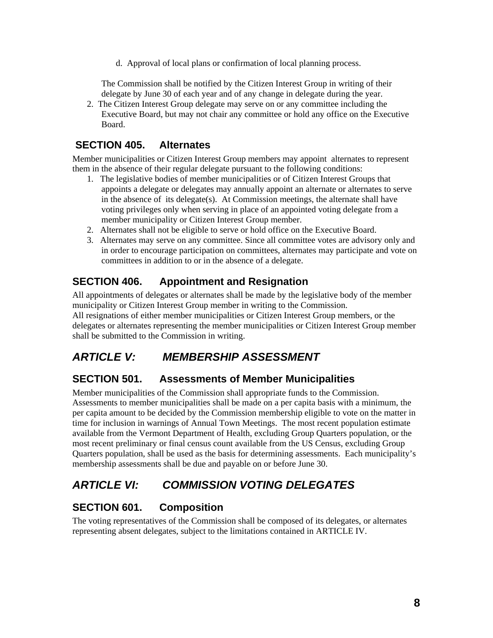d. Approval of local plans or confirmation of local planning process.

<span id="page-7-0"></span>The Commission shall be notified by the Citizen Interest Group in writing of their delegate by June 30 of each year and of any change in delegate during the year.

2. The Citizen Interest Group delegate may serve on or any committee including the Executive Board, but may not chair any committee or hold any office on the Executive Board.

## **SECTION 405. Alternates**

Member municipalities or Citizen Interest Group members may appoint alternates to represent them in the absence of their regular delegate pursuant to the following conditions:

- 1. The legislative bodies of member municipalities or of Citizen Interest Groups that appoints a delegate or delegates may annually appoint an alternate or alternates to serve in the absence of its delegate(s). At Commission meetings, the alternate shall have voting privileges only when serving in place of an appointed voting delegate from a member municipality or Citizen Interest Group member.
- 2. Alternates shall not be eligible to serve or hold office on the Executive Board.
- 3. Alternates may serve on any committee. Since all committee votes are advisory only and in order to encourage participation on committees, alternates may participate and vote on committees in addition to or in the absence of a delegate.

### **SECTION 406. Appointment and Resignation**

All appointments of delegates or alternates shall be made by the legislative body of the member municipality or Citizen Interest Group member in writing to the Commission.

All resignations of either member municipalities or Citizen Interest Group members, or the delegates or alternates representing the member municipalities or Citizen Interest Group member shall be submitted to the Commission in writing.

# *ARTICLE V: MEMBERSHIP ASSESSMENT*

### **SECTION 501. Assessments of Member Municipalities**

Member municipalities of the Commission shall appropriate funds to the Commission. Assessments to member municipalities shall be made on a per capita basis with a minimum, the per capita amount to be decided by the Commission membership eligible to vote on the matter in time for inclusion in warnings of Annual Town Meetings. The most recent population estimate available from the Vermont Department of Health, excluding Group Quarters population, or the most recent preliminary or final census count available from the US Census, excluding Group Quarters population, shall be used as the basis for determining assessments. Each municipality's membership assessments shall be due and payable on or before June 30.

# *ARTICLE VI: COMMISSION VOTING DELEGATES*

### **SECTION 601. Composition**

The voting representatives of the Commission shall be composed of its delegates, or alternates representing absent delegates, subject to the limitations contained in ARTICLE IV.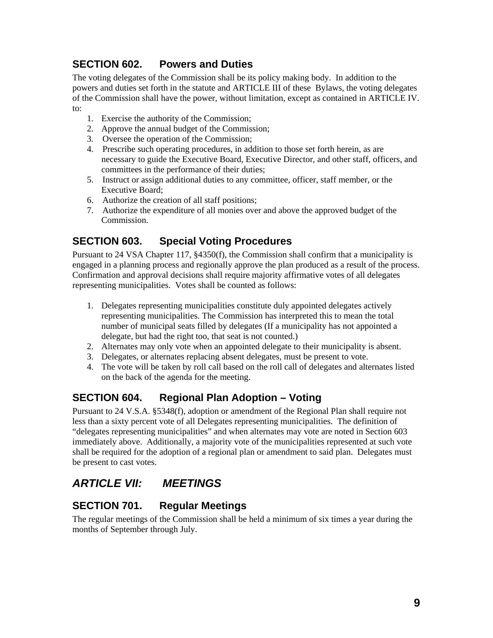## <span id="page-8-0"></span>**SECTION 602. Powers and Duties**

The voting delegates of the Commission shall be its policy making body. In addition to the powers and duties set forth in the statute and ARTICLE III of these Bylaws, the voting delegates of the Commission shall have the power, without limitation, except as contained in ARTICLE IV. to:

- 1. Exercise the authority of the Commission;
- 2. Approve the annual budget of the Commission;
- 3. Oversee the operation of the Commission;
- 4. Prescribe such operating procedures, in addition to those set forth herein, as are necessary to guide the Executive Board, Executive Director, and other staff, officers, and committees in the performance of their duties;
- 5. Instruct or assign additional duties to any committee, officer, staff member, or the Executive Board;
- 6. Authorize the creation of all staff positions;
- 7. Authorize the expenditure of all monies over and above the approved budget of the Commission.

#### **SECTION 603. Special Voting Procedures**

Pursuant to 24 VSA Chapter 117, §4350(f), the Commission shall confirm that a municipality is engaged in a planning process and regionally approve the plan produced as a result of the process. Confirmation and approval decisions shall require majority affirmative votes of all delegates representing municipalities. Votes shall be counted as follows:

- 1. Delegates representing municipalities constitute duly appointed delegates actively representing municipalities. The Commission has interpreted this to mean the total number of municipal seats filled by delegates (If a municipality has not appointed a delegate, but had the right too, that seat is not counted.)
- 2. Alternates may only vote when an appointed delegate to their municipality is absent.
- 3. Delegates, or alternates replacing absent delegates, must be present to vote.
- 4. The vote will be taken by roll call based on the roll call of delegates and alternates listed on the back of the agenda for the meeting.

### **SECTION 604. Regional Plan Adoption – Voting**

Pursuant to 24 V.S.A. §5348(f), adoption or amendment of the Regional Plan shall require not less than a sixty percent vote of all Delegates representing municipalities. The definition of "delegates representing municipalities" and when alternates may vote are noted in Section 603 immediately above. Additionally, a majority vote of the municipalities represented at such vote shall be required for the adoption of a regional plan or amendment to said plan. Delegates must be present to cast votes.

# *ARTICLE VII: MEETINGS*

### **SECTION 701. Regular Meetings**

The regular meetings of the Commission shall be held a minimum of six times a year during the months of September through July.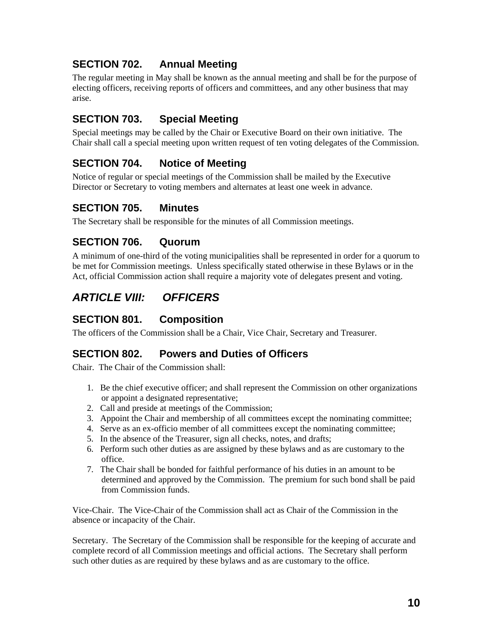## <span id="page-9-0"></span>**SECTION 702. Annual Meeting**

The regular meeting in May shall be known as the annual meeting and shall be for the purpose of electing officers, receiving reports of officers and committees, and any other business that may arise.

## **SECTION 703. Special Meeting**

Special meetings may be called by the Chair or Executive Board on their own initiative. The Chair shall call a special meeting upon written request of ten voting delegates of the Commission.

## **SECTION 704. Notice of Meeting**

Notice of regular or special meetings of the Commission shall be mailed by the Executive Director or Secretary to voting members and alternates at least one week in advance.

### **SECTION 705. Minutes**

The Secretary shall be responsible for the minutes of all Commission meetings.

#### **SECTION 706. Quorum**

A minimum of one-third of the voting municipalities shall be represented in order for a quorum to be met for Commission meetings. Unless specifically stated otherwise in these Bylaws or in the Act, official Commission action shall require a majority vote of delegates present and voting.

# *ARTICLE VIII: OFFICERS*

#### **SECTION 801. Composition**

The officers of the Commission shall be a Chair, Vice Chair, Secretary and Treasurer.

#### **SECTION 802. Powers and Duties of Officers**

Chair. The Chair of the Commission shall:

- 1. Be the chief executive officer; and shall represent the Commission on other organizations or appoint a designated representative;
- 2. Call and preside at meetings of the Commission;
- 3. Appoint the Chair and membership of all committees except the nominating committee;
- 4. Serve as an ex-officio member of all committees except the nominating committee;
- 5. In the absence of the Treasurer, sign all checks, notes, and drafts;
- 6. Perform such other duties as are assigned by these bylaws and as are customary to the office.
- 7. The Chair shall be bonded for faithful performance of his duties in an amount to be determined and approved by the Commission. The premium for such bond shall be paid from Commission funds.

Vice-Chair. The Vice-Chair of the Commission shall act as Chair of the Commission in the absence or incapacity of the Chair.

Secretary. The Secretary of the Commission shall be responsible for the keeping of accurate and complete record of all Commission meetings and official actions. The Secretary shall perform such other duties as are required by these bylaws and as are customary to the office.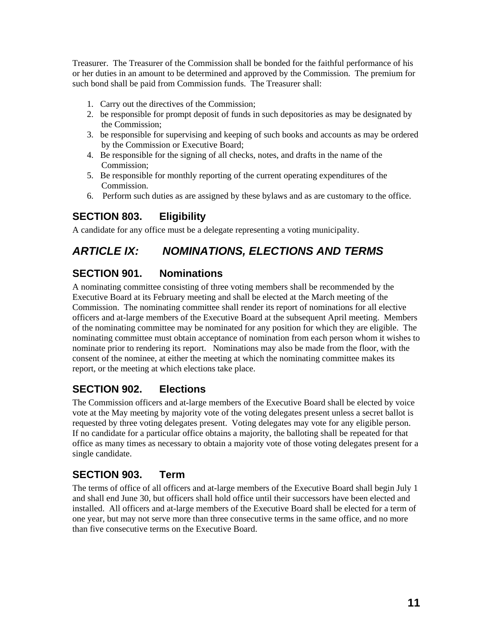<span id="page-10-0"></span>Treasurer. The Treasurer of the Commission shall be bonded for the faithful performance of his or her duties in an amount to be determined and approved by the Commission. The premium for such bond shall be paid from Commission funds. The Treasurer shall:

- 1. Carry out the directives of the Commission;
- 2. be responsible for prompt deposit of funds in such depositories as may be designated by the Commission;
- 3. be responsible for supervising and keeping of such books and accounts as may be ordered by the Commission or Executive Board;
- 4. Be responsible for the signing of all checks, notes, and drafts in the name of the Commission;
- 5. Be responsible for monthly reporting of the current operating expenditures of the Commission.
- 6. Perform such duties as are assigned by these bylaws and as are customary to the office.

## **SECTION 803. Eligibility**

A candidate for any office must be a delegate representing a voting municipality.

# *ARTICLE IX: NOMINATIONS, ELECTIONS AND TERMS*

### **SECTION 901. Nominations**

A nominating committee consisting of three voting members shall be recommended by the Executive Board at its February meeting and shall be elected at the March meeting of the Commission. The nominating committee shall render its report of nominations for all elective officers and at-large members of the Executive Board at the subsequent April meeting. Members of the nominating committee may be nominated for any position for which they are eligible. The nominating committee must obtain acceptance of nomination from each person whom it wishes to nominate prior to rendering its report. Nominations may also be made from the floor, with the consent of the nominee, at either the meeting at which the nominating committee makes its report, or the meeting at which elections take place.

### **SECTION 902. Elections**

The Commission officers and at-large members of the Executive Board shall be elected by voice vote at the May meeting by majority vote of the voting delegates present unless a secret ballot is requested by three voting delegates present. Voting delegates may vote for any eligible person. If no candidate for a particular office obtains a majority, the balloting shall be repeated for that office as many times as necessary to obtain a majority vote of those voting delegates present for a single candidate.

## **SECTION 903. Term**

The terms of office of all officers and at-large members of the Executive Board shall begin July 1 and shall end June 30, but officers shall hold office until their successors have been elected and installed. All officers and at-large members of the Executive Board shall be elected for a term of one year, but may not serve more than three consecutive terms in the same office, and no more than five consecutive terms on the Executive Board.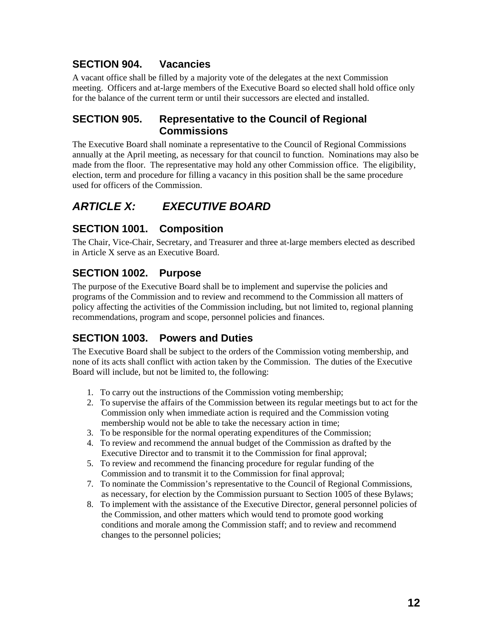## <span id="page-11-0"></span>**SECTION 904. Vacancies**

A vacant office shall be filled by a majority vote of the delegates at the next Commission meeting. Officers and at-large members of the Executive Board so elected shall hold office only for the balance of the current term or until their successors are elected and installed.

#### **SECTION 905. Representative to the Council of Regional Commissions**

The Executive Board shall nominate a representative to the Council of Regional Commissions annually at the April meeting, as necessary for that council to function. Nominations may also be made from the floor. The representative may hold any other Commission office. The eligibility, election, term and procedure for filling a vacancy in this position shall be the same procedure used for officers of the Commission.

# *ARTICLE X: EXECUTIVE BOARD*

## **SECTION 1001. Composition**

The Chair, Vice-Chair, Secretary, and Treasurer and three at-large members elected as described in Article X serve as an Executive Board.

## **SECTION 1002. Purpose**

The purpose of the Executive Board shall be to implement and supervise the policies and programs of the Commission and to review and recommend to the Commission all matters of policy affecting the activities of the Commission including, but not limited to, regional planning recommendations, program and scope, personnel policies and finances.

## **SECTION 1003. Powers and Duties**

The Executive Board shall be subject to the orders of the Commission voting membership, and none of its acts shall conflict with action taken by the Commission. The duties of the Executive Board will include, but not be limited to, the following:

- 1. To carry out the instructions of the Commission voting membership;
- 2. To supervise the affairs of the Commission between its regular meetings but to act for the Commission only when immediate action is required and the Commission voting membership would not be able to take the necessary action in time;
- 3. To be responsible for the normal operating expenditures of the Commission;
- 4. To review and recommend the annual budget of the Commission as drafted by the Executive Director and to transmit it to the Commission for final approval;
- 5. To review and recommend the financing procedure for regular funding of the Commission and to transmit it to the Commission for final approval;
- 7. To nominate the Commission's representative to the Council of Regional Commissions, as necessary, for election by the Commission pursuant to Section 1005 of these Bylaws;
- 8. To implement with the assistance of the Executive Director, general personnel policies of the Commission, and other matters which would tend to promote good working conditions and morale among the Commission staff; and to review and recommend changes to the personnel policies;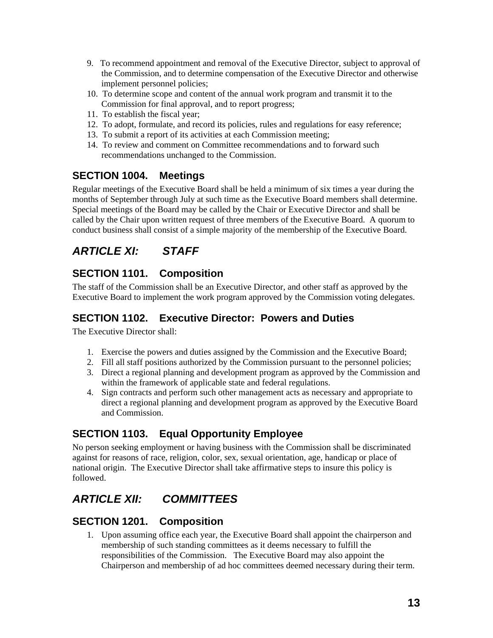- <span id="page-12-0"></span>9. To recommend appointment and removal of the Executive Director, subject to approval of the Commission, and to determine compensation of the Executive Director and otherwise implement personnel policies;
- 10. To determine scope and content of the annual work program and transmit it to the Commission for final approval, and to report progress;
- 11. To establish the fiscal year;
- 12. To adopt, formulate, and record its policies, rules and regulations for easy reference;
- 13. To submit a report of its activities at each Commission meeting;
- 14. To review and comment on Committee recommendations and to forward such recommendations unchanged to the Commission.

## **SECTION 1004. Meetings**

Regular meetings of the Executive Board shall be held a minimum of six times a year during the months of September through July at such time as the Executive Board members shall determine. Special meetings of the Board may be called by the Chair or Executive Director and shall be called by the Chair upon written request of three members of the Executive Board. A quorum to conduct business shall consist of a simple majority of the membership of the Executive Board.

# *ARTICLE XI: STAFF*

## **SECTION 1101. Composition**

The staff of the Commission shall be an Executive Director, and other staff as approved by the Executive Board to implement the work program approved by the Commission voting delegates.

## **SECTION 1102. Executive Director: Powers and Duties**

The Executive Director shall:

- 1. Exercise the powers and duties assigned by the Commission and the Executive Board;
- 2. Fill all staff positions authorized by the Commission pursuant to the personnel policies;
- 3. Direct a regional planning and development program as approved by the Commission and within the framework of applicable state and federal regulations.
- 4. Sign contracts and perform such other management acts as necessary and appropriate to direct a regional planning and development program as approved by the Executive Board and Commission.

### **SECTION 1103. Equal Opportunity Employee**

No person seeking employment or having business with the Commission shall be discriminated against for reasons of race, religion, color, sex, sexual orientation, age, handicap or place of national origin. The Executive Director shall take affirmative steps to insure this policy is followed.

# *ARTICLE XII: COMMITTEES*

### **SECTION 1201. Composition**

1. Upon assuming office each year, the Executive Board shall appoint the chairperson and membership of such standing committees as it deems necessary to fulfill the responsibilities of the Commission. The Executive Board may also appoint the Chairperson and membership of ad hoc committees deemed necessary during their term.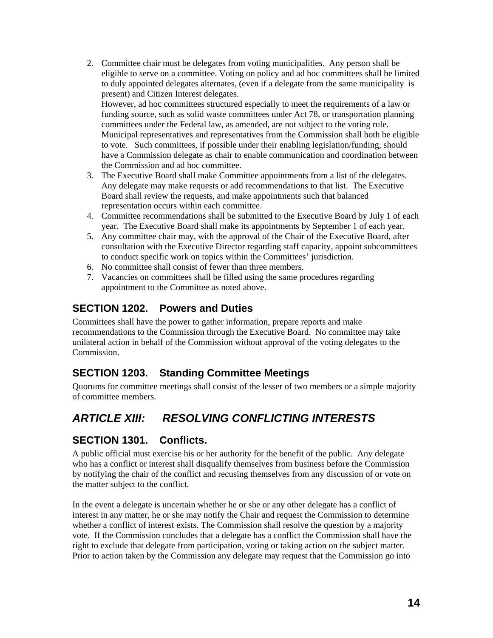- <span id="page-13-0"></span>2. Committee chair must be delegates from voting municipalities. Any person shall be eligible to serve on a committee. Voting on policy and ad hoc committees shall be limited to duly appointed delegates alternates, (even if a delegate from the same municipality is present) and Citizen Interest delegates. However, ad hoc committees structured especially to meet the requirements of a law or funding source, such as solid waste committees under Act 78, or transportation planning committees under the Federal law, as amended, are not subject to the voting rule. Municipal representatives and representatives from the Commission shall both be eligible to vote. Such committees, if possible under their enabling legislation/funding, should have a Commission delegate as chair to enable communication and coordination between
	- the Commission and ad hoc committee.
- 3. The Executive Board shall make Committee appointments from a list of the delegates. Any delegate may make requests or add recommendations to that list. The Executive Board shall review the requests, and make appointments such that balanced representation occurs within each committee.
- 4. Committee recommendations shall be submitted to the Executive Board by July 1 of each year. The Executive Board shall make its appointments by September 1 of each year.
- 5. Any committee chair may, with the approval of the Chair of the Executive Board, after consultation with the Executive Director regarding staff capacity, appoint subcommittees to conduct specific work on topics within the Committees' jurisdiction.
- 6. No committee shall consist of fewer than three members.
- 7. Vacancies on committees shall be filled using the same procedures regarding appointment to the Committee as noted above.

#### **SECTION 1202. Powers and Duties**

Committees shall have the power to gather information, prepare reports and make recommendations to the Commission through the Executive Board. No committee may take unilateral action in behalf of the Commission without approval of the voting delegates to the Commission.

#### **SECTION 1203. Standing Committee Meetings**

Quorums for committee meetings shall consist of the lesser of two members or a simple majority of committee members.

# *ARTICLE XIII: RESOLVING CONFLICTING INTERESTS*

#### **SECTION 1301. Conflicts.**

A public official must exercise his or her authority for the benefit of the public. Any delegate who has a conflict or interest shall disqualify themselves from business before the Commission by notifying the chair of the conflict and recusing themselves from any discussion of or vote on the matter subject to the conflict.

In the event a delegate is uncertain whether he or she or any other delegate has a conflict of interest in any matter, he or she may notify the Chair and request the Commission to determine whether a conflict of interest exists. The Commission shall resolve the question by a majority vote. If the Commission concludes that a delegate has a conflict the Commission shall have the right to exclude that delegate from participation, voting or taking action on the subject matter. Prior to action taken by the Commission any delegate may request that the Commission go into